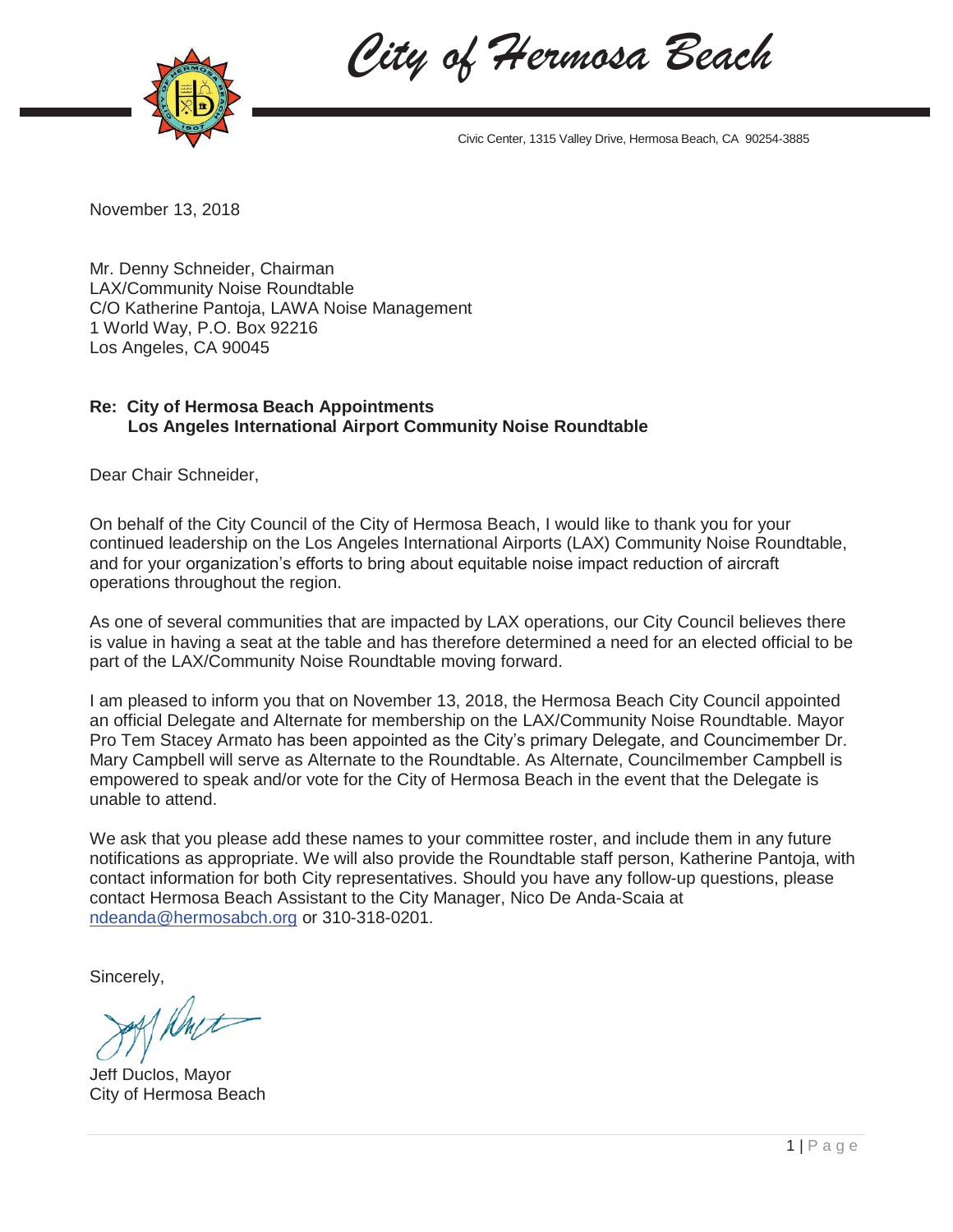



Civic Center, 1315 Valley Drive, Hermosa Beach, CA 90254-3885

November 13, 2018

Mr. Denny Schneider, Chairman LAX/Community Noise Roundtable C/O Katherine Pantoja, LAWA Noise Management 1 World Way, P.O. Box 92216 Los Angeles, CA 90045

## **Re: City of Hermosa Beach Appointments Los Angeles International Airport Community Noise Roundtable**

Dear Chair Schneider,

On behalf of the City Council of the City of Hermosa Beach, I would like to thank you for your continued leadership on the Los Angeles International Airports (LAX) Community Noise Roundtable, and for your organization's efforts to bring about equitable noise impact reduction of aircraft operations throughout the region.

As one of several communities that are impacted by LAX operations, our City Council believes there is value in having a seat at the table and has therefore determined a need for an elected official to be part of the LAX/Community Noise Roundtable moving forward.

I am pleased to inform you that on November 13, 2018, the Hermosa Beach City Council appointed an official Delegate and Alternate for membership on the LAX/Community Noise Roundtable. Mayor Pro Tem Stacey Armato has been appointed as the City's primary Delegate, and Councimember Dr. Mary Campbell will serve as Alternate to the Roundtable. As Alternate, Councilmember Campbell is empowered to speak and/or vote for the City of Hermosa Beach in the event that the Delegate is unable to attend.

We ask that you please add these names to your committee roster, and include them in any future notifications as appropriate. We will also provide the Roundtable staff person, Katherine Pantoja, with contact information for both City representatives. Should you have any follow-up questions, please contact Hermosa Beach Assistant to the City Manager, Nico De Anda-Scaia at ndeanda@hermosabch.org or 310-318-0201.

Sincerely,

Rust

Jeff Duclos, Mayor City of Hermosa Beach